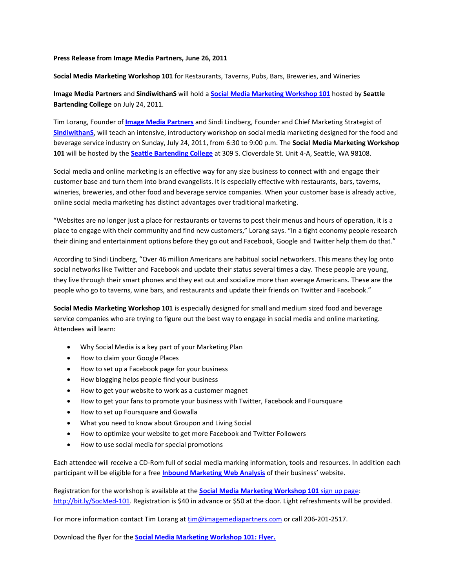## **Press Release from Image Media Partners, June 26, 2011**

**Social Media Marketing Workshop 101** for Restaurants, Taverns, Pubs, Bars, Breweries, and Wineries

**Image Media Partners** and **SindiwithanS** will hold a **[Social Media Marketing Workshop 101](http://www.imagemediapartners.com/social-media-marketing-workshop-101/?utm_campaign=SoMeWorkshop-101&utm_source=Press%20Release)** hosted by **Seattle Bartending College** on July 24, 2011.

Tim Lorang, Founder of **[Image Media Partners](http://www.imagemediapartners.com/)** and Sindi Lindberg, Founder and Chief Marketing Strategist of **[SindiwithanS](http://sindiwithans.com/)**, will teach an intensive, introductory workshop on social media marketing designed for the food and beverage service industry on Sunday, July 24, 2011, from 6:30 to 9:00 p.m. The **Social Media Marketing Workshop 101** will be hosted by the **[Seattle Bartending College](http://www.seattlebartendingcollege.com/)** at 309 S. Cloverdale St. Unit 4-A, Seattle, WA 98108.

Social media and online marketing is an effective way for any size business to connect with and engage their customer base and turn them into brand evangelists. It is especially effective with restaurants, bars, taverns, wineries, breweries, and other food and beverage service companies. When your customer base is already active, online social media marketing has distinct advantages over traditional marketing.

"Websites are no longer just a place for restaurants or taverns to post their menus and hours of operation, it is a place to engage with their community and find new customers," Lorang says. "In a tight economy people research their dining and entertainment options before they go out and Facebook, Google and Twitter help them do that."

According to Sindi Lindberg, "Over 46 million Americans are habitual social networkers. This means they log onto social networks like Twitter and Facebook and update their status several times a day. These people are young, they live through their smart phones and they eat out and socialize more than average Americans. These are the people who go to taverns, wine bars, and restaurants and update their friends on Twitter and Facebook."

**Social Media Marketing Workshop 101** is especially designed for small and medium sized food and beverage service companies who are trying to figure out the best way to engage in social media and online marketing. Attendees will learn:

- Why Social Media is a key part of your Marketing Plan
- How to claim your Google Places
- How to set up a Facebook page for your business
- How blogging helps people find your business
- How to get your website to work as a customer magnet
- How to get your fans to promote your business with Twitter, Facebook and Foursquare
- How to set up Foursquare and Gowalla
- What you need to know about Groupon and Living Social
- How to optimize your website to get more Facebook and Twitter Followers
- How to use social media for special promotions

Each attendee will receive a CD-Rom full of social media marking information, tools and resources. In addition each participant will be eligible for a free **[Inbound Marketing](http://www.imagemediapartners.com/free-inbound-marketing-web-analysis/?utm_campaign=SoMeWorkshop-101&utm_source=Press%20Release) Web Analysis** of their business' website.

Registration for the workshop is available at the **[Social Media Marketing Workshop 101](http://bit.ly/SocMed-101)** sign up page: [http://bit.ly/SocMed-101.](http://bit.ly/SocMed-101) Registration is \$40 in advance or \$50 at the door. Light refreshments will be provided.

For more information contact Tim Lorang a[t tim@imagemediapartners.com](mailto:tim@imagemediapartners.com) or call 206-201-2517.

Download the flyer for the **[Social Media Marketing Workshop 101: Flyer.](http://bit.ly/SM-101-prflyer)**